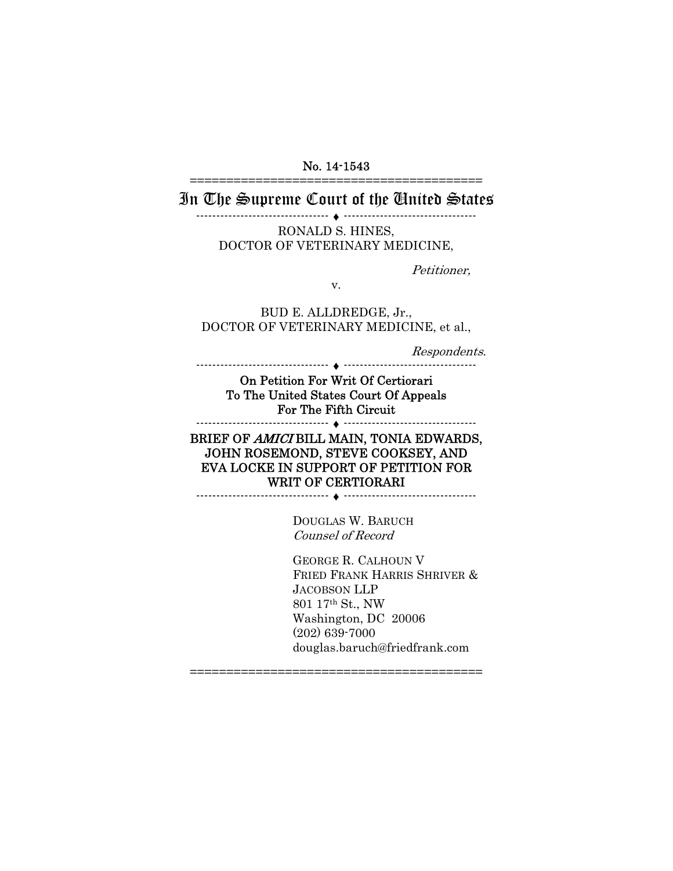#### No. 14-1543 ========================================

## In The Supreme Court of the United States

--------------------------------- ♦ --------------------------------- RONALD S. HINES, DOCTOR OF VETERINARY MEDICINE,

Petitioner,

v.

BUD E. ALLDREDGE, Jr., DOCTOR OF VETERINARY MEDICINE, et al.,

Respondents.

On Petition For Writ Of Certiorari To The United States Court Of Appeals For The Fifth Circuit --------------------------------- ♦ ---------------------------------

--------------------------------- ♦ ---------------------------------

#### BRIEF OF AMICI BILL MAIN, TONIA EDWARDS, JOHN ROSEMOND, STEVE COOKSEY, AND EVA LOCKE IN SUPPORT OF PETITION FOR WRIT OF CERTIORARI --------------------------------- ♦ ---------------------------------

DOUGLAS W. BARUCH Counsel of Record

GEORGE R. CALHOUN V FRIED FRANK HARRIS SHRIVER & JACOBSON LLP 801 17th St., NW Washington, DC 20006 (202) 639-7000 douglas.baruch@friedfrank.com

========================================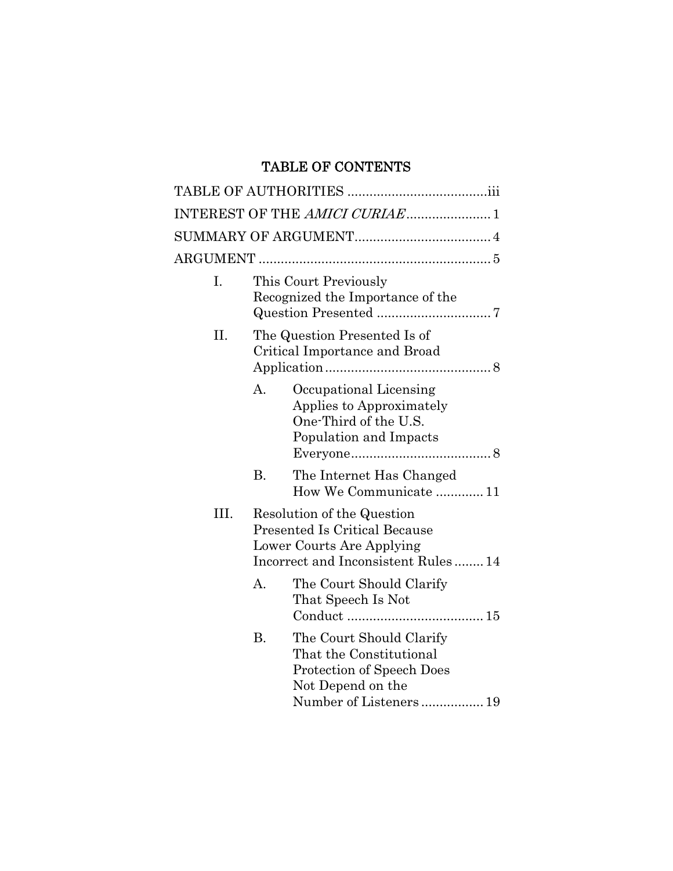# TABLE OF CONTENTS

|      |                                                                                                                                       | INTEREST OF THE AMICI CURIAE1                                                                                                   |
|------|---------------------------------------------------------------------------------------------------------------------------------------|---------------------------------------------------------------------------------------------------------------------------------|
|      |                                                                                                                                       |                                                                                                                                 |
|      |                                                                                                                                       |                                                                                                                                 |
| I.   |                                                                                                                                       | This Court Previously<br>Recognized the Importance of the                                                                       |
| Η.   |                                                                                                                                       | The Question Presented Is of<br>Critical Importance and Broad                                                                   |
|      | A.                                                                                                                                    | Occupational Licensing<br>Applies to Approximately<br>One-Third of the U.S.<br>Population and Impacts                           |
|      | <b>B.</b>                                                                                                                             | The Internet Has Changed<br>How We Communicate  11                                                                              |
| III. | Resolution of the Question<br><b>Presented Is Critical Because</b><br>Lower Courts Are Applying<br>Incorrect and Inconsistent Rules14 |                                                                                                                                 |
|      | $\mathbf{A}$ .                                                                                                                        | The Court Should Clarify<br>That Speech Is Not                                                                                  |
|      | B.                                                                                                                                    | The Court Should Clarify<br>That the Constitutional<br>Protection of Speech Does<br>Not Depend on the<br>Number of Listeners 19 |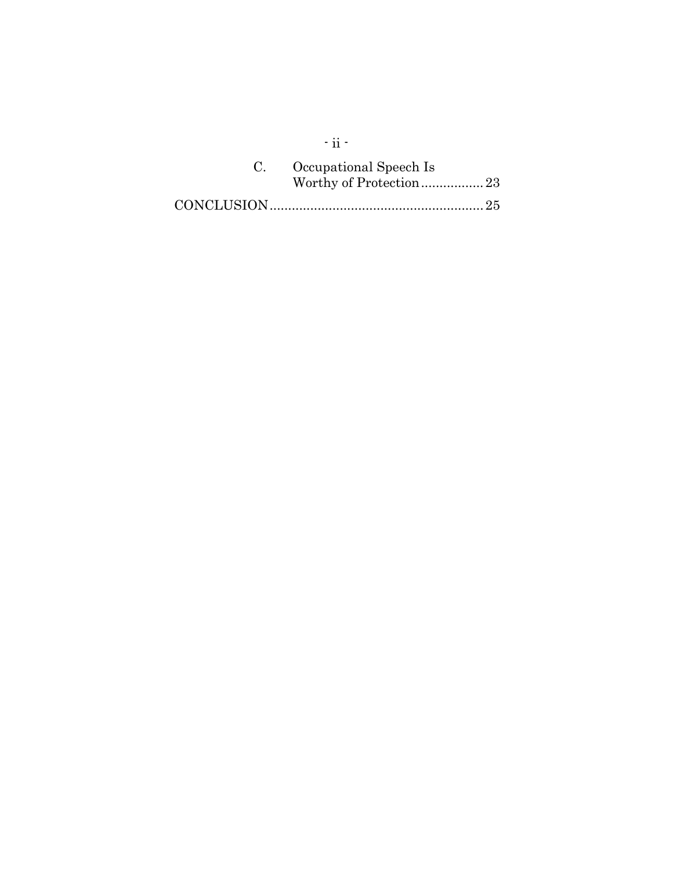| C. Occupational Speech Is |  |
|---------------------------|--|
|                           |  |
|                           |  |

 $\cdot$ ii -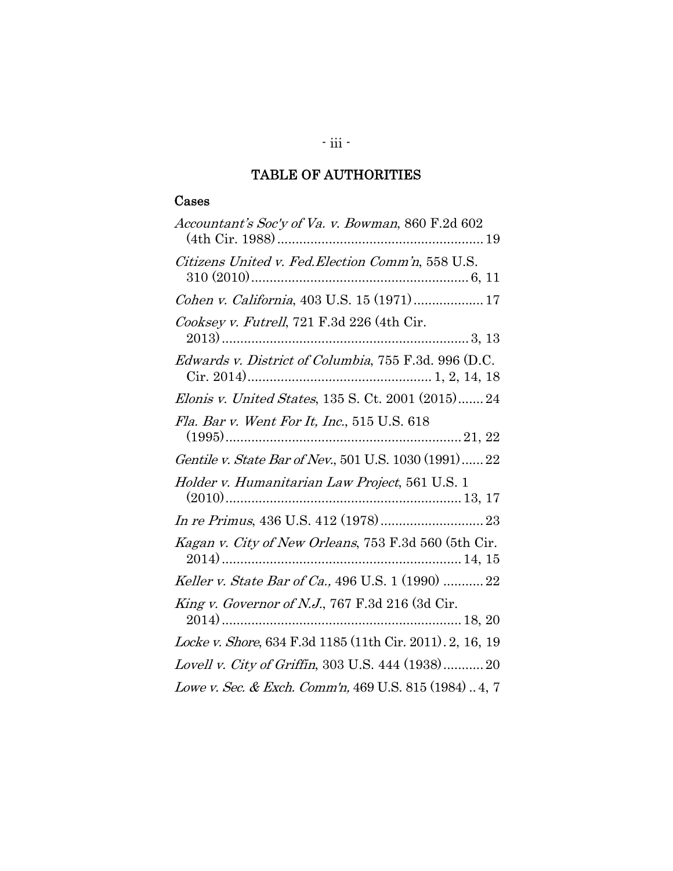# TABLE OF AUTHORITIES

## Cases

| Accountant's Soc'y of Va. v. Bowman, 860 F.2d 602         |
|-----------------------------------------------------------|
| Citizens United v. Fed. Election Comm'n, 558 U.S.         |
| Cohen v. California, 403 U.S. 15 (1971)  17               |
| Cooksey v. Futrell, 721 F.3d 226 (4th Cir.                |
| Edwards v. District of Columbia, 755 F.3d. 996 (D.C.      |
| Elonis v. United States, 135 S. Ct. 2001 (2015) 24        |
| Fla. Bar v. Went For It, Inc., 515 U.S. 618               |
| Gentile v. State Bar of Nev., 501 U.S. 1030 (1991) 22     |
| Holder v. Humanitarian Law Project, 561 U.S. 1            |
|                                                           |
| Kagan v. City of New Orleans, 753 F.3d 560 (5th Cir.      |
| Keller v. State Bar of Ca., 496 U.S. 1 (1990)  22         |
| <i>King v. Governor of N.J.</i> , 767 F.3d 216 (3d Cir.   |
| Locke v. Shore, 634 F.3d 1185 (11th Cir. 2011). 2, 16, 19 |
| Lovell v. City of Griffin, 303 U.S. 444 (1938) 20         |
| Lowe v. Sec. & Exch. Comm'n, 469 U.S. 815 (1984)  4, 7    |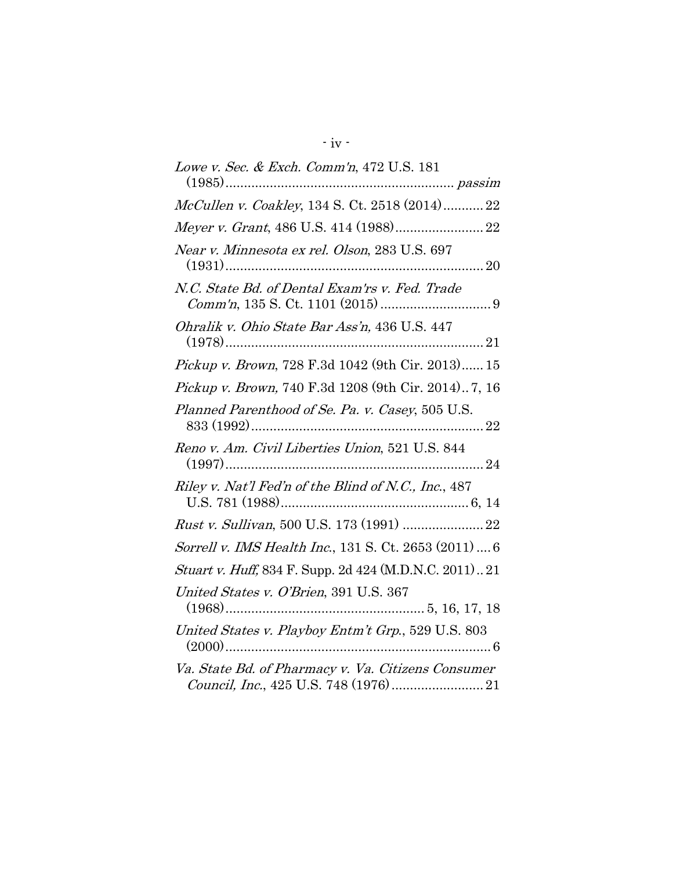| Lowe v. Sec. & Exch. Comm'n, 472 U.S. 181                   |
|-------------------------------------------------------------|
| McCullen v. Coakley, 134 S. Ct. 2518 (2014)22               |
| Meyer v. Grant, 486 U.S. 414 (1988) 22                      |
| Near v. Minnesota ex rel. Olson, 283 U.S. 697               |
| N.C. State Bd. of Dental Exam'rs v. Fed. Trade              |
| Ohralik v. Ohio State Bar Ass'n, 436 U.S. 447               |
| Pickup v. Brown, 728 F.3d 1042 (9th Cir. 2013) 15           |
| <i>Pickup v. Brown</i> , 740 F.3d 1208 (9th Cir. 2014)7, 16 |
| Planned Parenthood of Se. Pa. v. Casey, 505 U.S.            |
| Reno v. Am. Civil Liberties Union, 521 U.S. 844             |
| Riley v. Nat'l Fed'n of the Blind of N.C., Inc., 487        |
|                                                             |
| Sorrell v. IMS Health Inc., 131 S. Ct. 2653 (2011)  6       |
| Stuart v. Huff, 834 F. Supp. 2d 424 (M.D.N.C. 2011)21       |
| United States v. O'Brien, 391 U.S. 367                      |
| United States v. Playboy Entm't Grp., 529 U.S. 803          |
| Va. State Bd. of Pharmacy v. Va. Citizens Consumer          |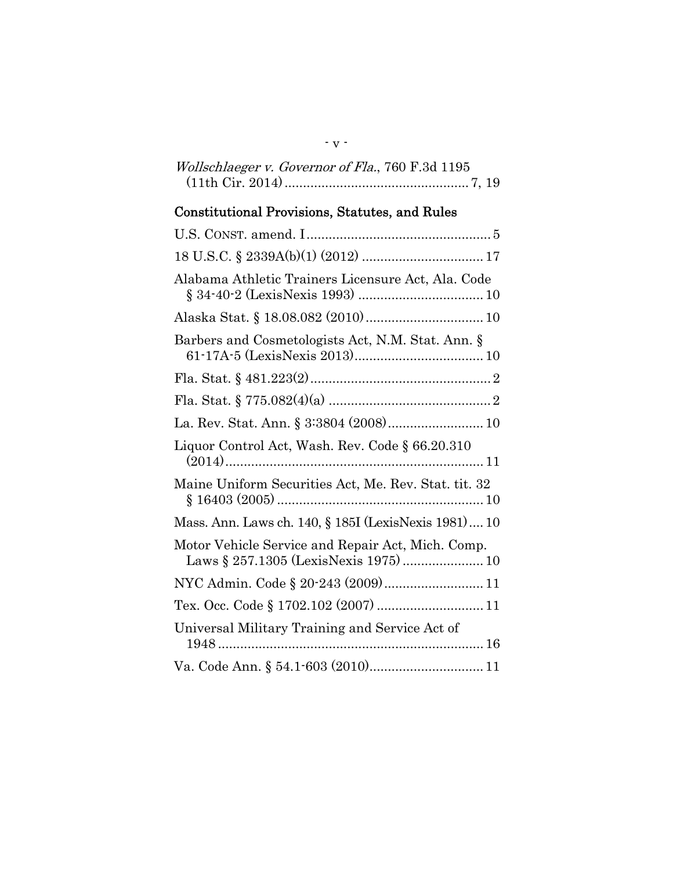| Wollschlaeger v. Governor of Fla., 760 F.3d 1195 |
|--------------------------------------------------|
|                                                  |

- v -

# Constitutional Provisions, Statutes, and Rules

| Alabama Athletic Trainers Licensure Act, Ala. Code                                        |
|-------------------------------------------------------------------------------------------|
|                                                                                           |
| Barbers and Cosmetologists Act, N.M. Stat. Ann. §                                         |
|                                                                                           |
|                                                                                           |
| La. Rev. Stat. Ann. § 3:3804 (2008) 10                                                    |
| Liquor Control Act, Wash. Rev. Code § 66.20.310                                           |
| Maine Uniform Securities Act, Me. Rev. Stat. tit. 32                                      |
| Mass. Ann. Laws ch. 140, § 185I (LexisNexis 1981) 10                                      |
| Motor Vehicle Service and Repair Act, Mich. Comp.<br>Laws § 257.1305 (LexisNexis 1975) 10 |
|                                                                                           |
| Tex. Occ. Code § 1702.102 (2007)  11                                                      |
| Universal Military Training and Service Act of                                            |
|                                                                                           |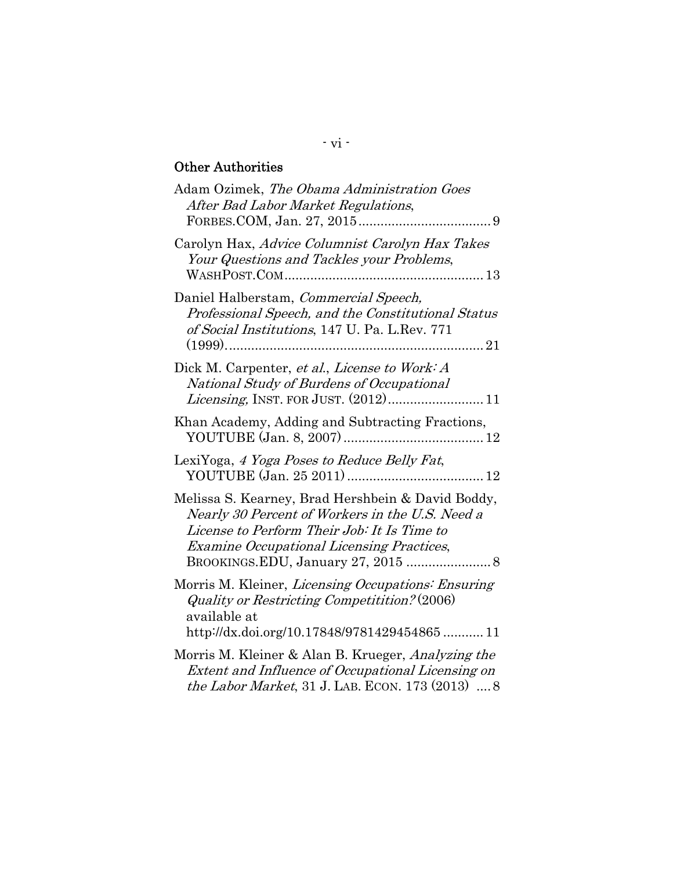# Other Authorities

| Adam Ozimek, The Obama Administration Goes<br>After Bad Labor Market Regulations,                                                                                                                                                             |
|-----------------------------------------------------------------------------------------------------------------------------------------------------------------------------------------------------------------------------------------------|
| Carolyn Hax, Advice Columnist Carolyn Hax Takes<br>Your Questions and Tackles your Problems,                                                                                                                                                  |
| Daniel Halberstam, Commercial Speech,<br>Professional Speech, and the Constitutional Status<br>of Social Institutions, 147 U. Pa. L.Rev. 771                                                                                                  |
| Dick M. Carpenter, et al., License to Work: A<br>National Study of Burdens of Occupational                                                                                                                                                    |
| Khan Academy, Adding and Subtracting Fractions,                                                                                                                                                                                               |
| LexiYoga, 4 Yoga Poses to Reduce Belly Fat,                                                                                                                                                                                                   |
| Melissa S. Kearney, Brad Hershbein & David Boddy,<br>Nearly 30 Percent of Workers in the U.S. Need a<br>License to Perform Their Job: It Is Time to<br><b>Examine Occupational Licensing Practices,</b><br>BROOKINGS.EDU, January 27, 2015  8 |
| Morris M. Kleiner, <i>Licensing Occupations: Ensuring</i><br>Quality or Restricting Competitition? (2006)<br>available at<br>http://dx.doi.org/10.17848/9781429454865  11                                                                     |
| Morris M. Kleiner & Alan B. Krueger, <i>Analyzing the</i><br>Extent and Influence of Occupational Licensing on<br><i>the Labor Market</i> , 31 J. LAB. ECON. 173 (2013)  8                                                                    |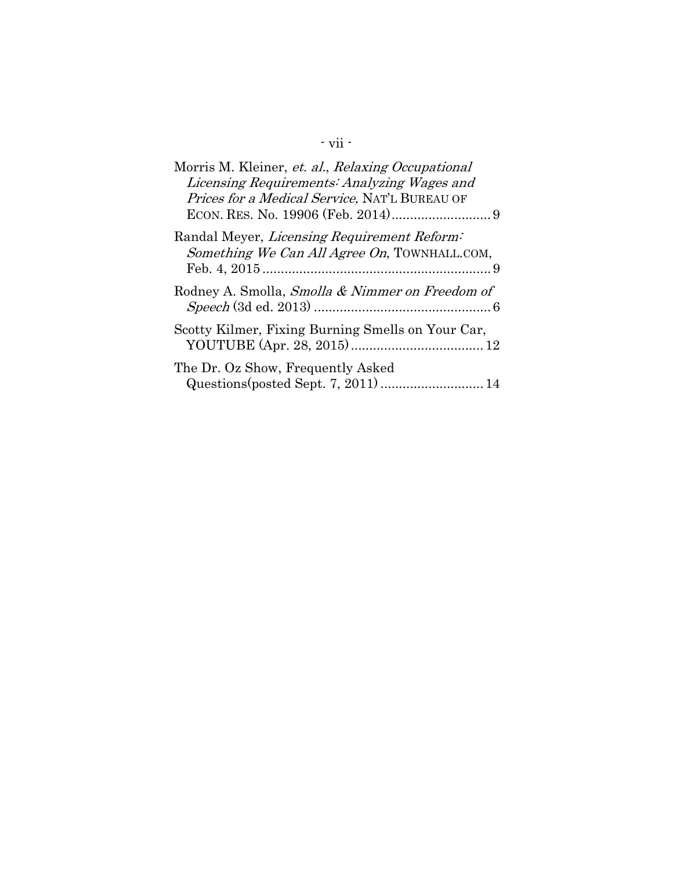# - vii -

| Morris M. Kleiner, et. al., Relaxing Occupational<br>Licensing Requirements: Analyzing Wages and<br><i>Prices for a Medical Service, NAT'L BUREAU OF</i> |
|----------------------------------------------------------------------------------------------------------------------------------------------------------|
| Randal Meyer, Licensing Requirement Reform:<br>Something We Can All Agree On, TOWNHALL.COM,                                                              |
| Rodney A. Smolla, Smolla & Nimmer on Freedom of                                                                                                          |
| Scotty Kilmer, Fixing Burning Smells on Your Car,                                                                                                        |
| The Dr. Oz Show, Frequently Asked<br>Questions (posted Sept. 7, 2011)  14                                                                                |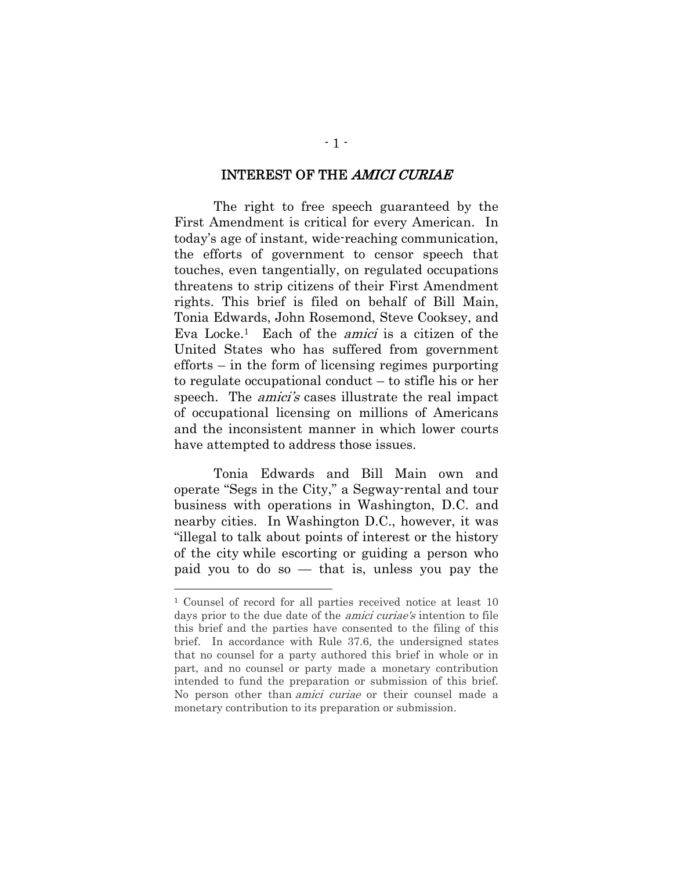### INTEREST OF THE AMICI CURIAE

 The right to free speech guaranteed by the First Amendment is critical for every American. In today's age of instant, wide-reaching communication, the efforts of government to censor speech that touches, even tangentially, on regulated occupations threatens to strip citizens of their First Amendment rights. This brief is filed on behalf of Bill Main, Tonia Edwards, John Rosemond, Steve Cooksey, and Eva Locke.<sup>1</sup> Each of the *amici* is a citizen of the United States who has suffered from government efforts – in the form of licensing regimes purporting to regulate occupational conduct – to stifle his or her speech. The *amici's* cases illustrate the real impact of occupational licensing on millions of Americans and the inconsistent manner in which lower courts have attempted to address those issues.

Tonia Edwards and Bill Main own and operate "Segs in the City," a Segway-rental and tour business with operations in Washington, D.C. and nearby cities. In Washington D.C., however, it was "illegal to talk about points of interest or the history of the city while escorting or guiding a person who paid you to do so — that is, unless you pay the

<sup>1</sup> Counsel of record for all parties received notice at least 10 days prior to the due date of the *amici curiae's* intention to file this brief and the parties have consented to the filing of this brief. In accordance with Rule 37.6, the undersigned states that no counsel for a party authored this brief in whole or in part, and no counsel or party made a monetary contribution intended to fund the preparation or submission of this brief. No person other than amici curiae or their counsel made a monetary contribution to its preparation or submission.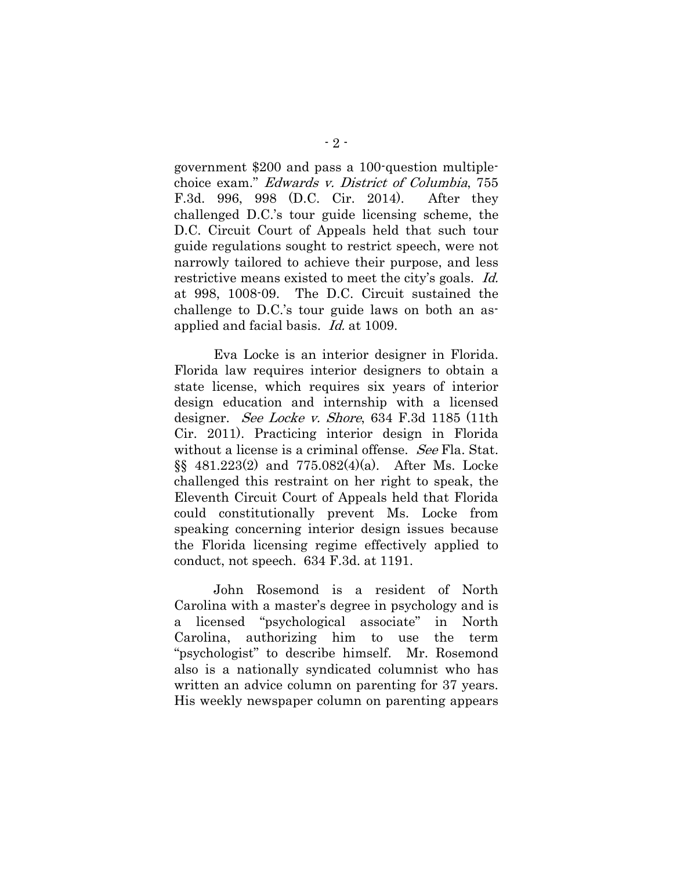government \$200 and pass a 100-question multiplechoice exam." Edwards v. District of Columbia, 755 F.3d. 996, 998 (D.C. Cir. 2014). After they challenged D.C.'s tour guide licensing scheme, the D.C. Circuit Court of Appeals held that such tour guide regulations sought to restrict speech, were not narrowly tailored to achieve their purpose, and less restrictive means existed to meet the city's goals. Id. at 998, 1008-09. The D.C. Circuit sustained the challenge to D.C.'s tour guide laws on both an asapplied and facial basis. Id. at 1009.

Eva Locke is an interior designer in Florida. Florida law requires interior designers to obtain a state license, which requires six years of interior design education and internship with a licensed designer. See Locke v. Shore, 634 F.3d 1185 (11th Cir. 2011). Practicing interior design in Florida without a license is a criminal offense. See Fla. Stat. §§ 481.223(2) and 775.082(4)(a). After Ms. Locke challenged this restraint on her right to speak, the Eleventh Circuit Court of Appeals held that Florida could constitutionally prevent Ms. Locke from speaking concerning interior design issues because the Florida licensing regime effectively applied to conduct, not speech. 634 F.3d. at 1191.

John Rosemond is a resident of North Carolina with a master's degree in psychology and is a licensed "psychological associate" in North Carolina, authorizing him to use the term "psychologist" to describe himself. Mr. Rosemond also is a nationally syndicated columnist who has written an advice column on parenting for 37 years. His weekly newspaper column on parenting appears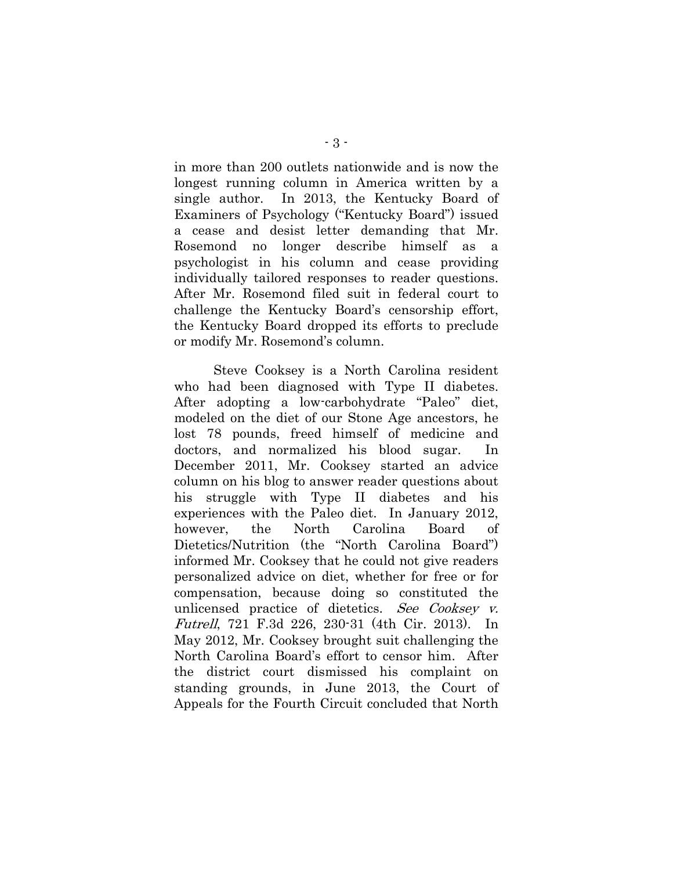in more than 200 outlets nationwide and is now the longest running column in America written by a single author. In 2013, the Kentucky Board of Examiners of Psychology ("Kentucky Board") issued a cease and desist letter demanding that Mr. Rosemond no longer describe himself as psychologist in his column and cease providing individually tailored responses to reader questions. After Mr. Rosemond filed suit in federal court to challenge the Kentucky Board's censorship effort, the Kentucky Board dropped its efforts to preclude or modify Mr. Rosemond's column.

Steve Cooksey is a North Carolina resident who had been diagnosed with Type II diabetes. After adopting a low-carbohydrate "Paleo" diet, modeled on the diet of our Stone Age ancestors, he lost 78 pounds, freed himself of medicine and doctors, and normalized his blood sugar. In December 2011, Mr. Cooksey started an advice column on his blog to answer reader questions about his struggle with Type II diabetes and his experiences with the Paleo diet. In January 2012, however, the North Carolina Board of Dietetics/Nutrition (the "North Carolina Board") informed Mr. Cooksey that he could not give readers personalized advice on diet, whether for free or for compensation, because doing so constituted the unlicensed practice of dietetics. See Cooksey v. Futrell, 721 F.3d 226, 230-31 (4th Cir. 2013). In May 2012, Mr. Cooksey brought suit challenging the North Carolina Board's effort to censor him. After the district court dismissed his complaint on standing grounds, in June 2013, the Court of Appeals for the Fourth Circuit concluded that North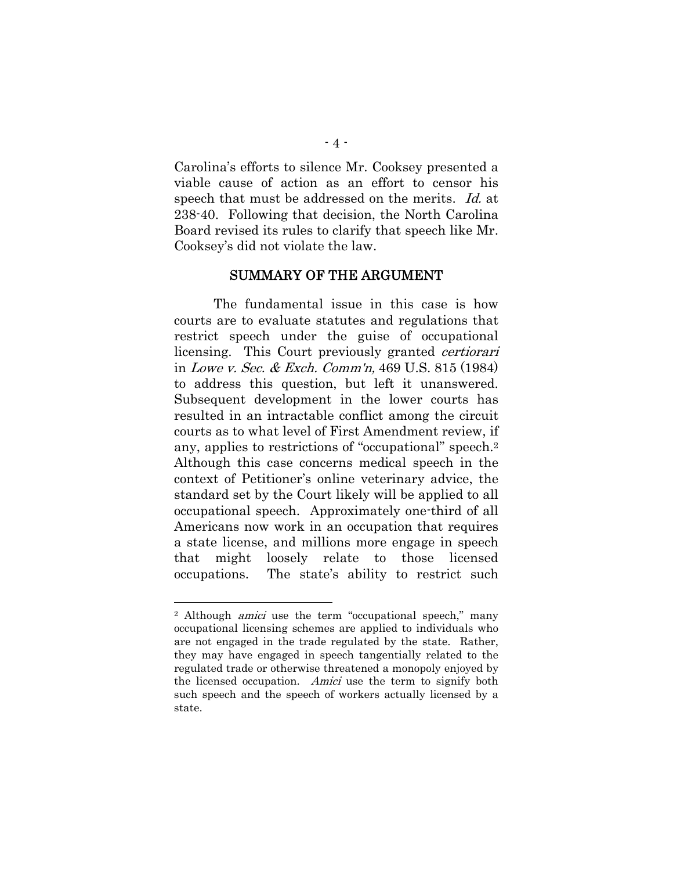Carolina's efforts to silence Mr. Cooksey presented a viable cause of action as an effort to censor his speech that must be addressed on the merits. Id. at 238-40. Following that decision, the North Carolina Board revised its rules to clarify that speech like Mr. Cooksey's did not violate the law.

#### SUMMARY OF THE ARGUMENT

The fundamental issue in this case is how courts are to evaluate statutes and regulations that restrict speech under the guise of occupational licensing. This Court previously granted certiorari in Lowe v. Sec. & Exch. Comm'n, 469 U.S. 815 (1984) to address this question, but left it unanswered. Subsequent development in the lower courts has resulted in an intractable conflict among the circuit courts as to what level of First Amendment review, if any, applies to restrictions of "occupational" speech.2 Although this case concerns medical speech in the context of Petitioner's online veterinary advice, the standard set by the Court likely will be applied to all occupational speech. Approximately one-third of all Americans now work in an occupation that requires a state license, and millions more engage in speech that might loosely relate to those licensed occupations. The state's ability to restrict such

<sup>&</sup>lt;sup>2</sup> Although *amici* use the term "occupational speech," many occupational licensing schemes are applied to individuals who are not engaged in the trade regulated by the state. Rather, they may have engaged in speech tangentially related to the regulated trade or otherwise threatened a monopoly enjoyed by the licensed occupation. Amici use the term to signify both such speech and the speech of workers actually licensed by a state.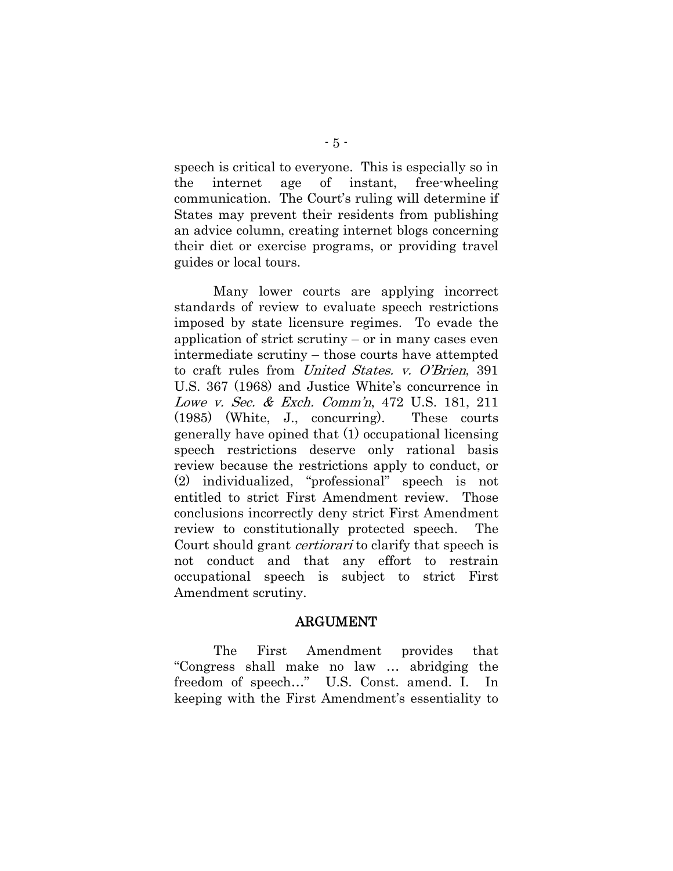speech is critical to everyone. This is especially so in the internet age of instant, free-wheeling communication. The Court's ruling will determine if States may prevent their residents from publishing an advice column, creating internet blogs concerning their diet or exercise programs, or providing travel guides or local tours.

Many lower courts are applying incorrect standards of review to evaluate speech restrictions imposed by state licensure regimes. To evade the application of strict scrutiny – or in many cases even intermediate scrutiny – those courts have attempted to craft rules from United States. v. O'Brien, 391 U.S. 367 (1968) and Justice White's concurrence in Lowe v. Sec. & Exch. Comm'n, 472 U.S. 181, 211 (1985) (White, J., concurring). These courts generally have opined that (1) occupational licensing speech restrictions deserve only rational basis review because the restrictions apply to conduct, or (2) individualized, "professional" speech is not entitled to strict First Amendment review. Those conclusions incorrectly deny strict First Amendment review to constitutionally protected speech. The Court should grant *certiorari* to clarify that speech is not conduct and that any effort to restrain occupational speech is subject to strict First Amendment scrutiny.

#### ARGUMENT

The First Amendment provides that "Congress shall make no law … abridging the freedom of speech…" U.S. Const. amend. I. In keeping with the First Amendment's essentiality to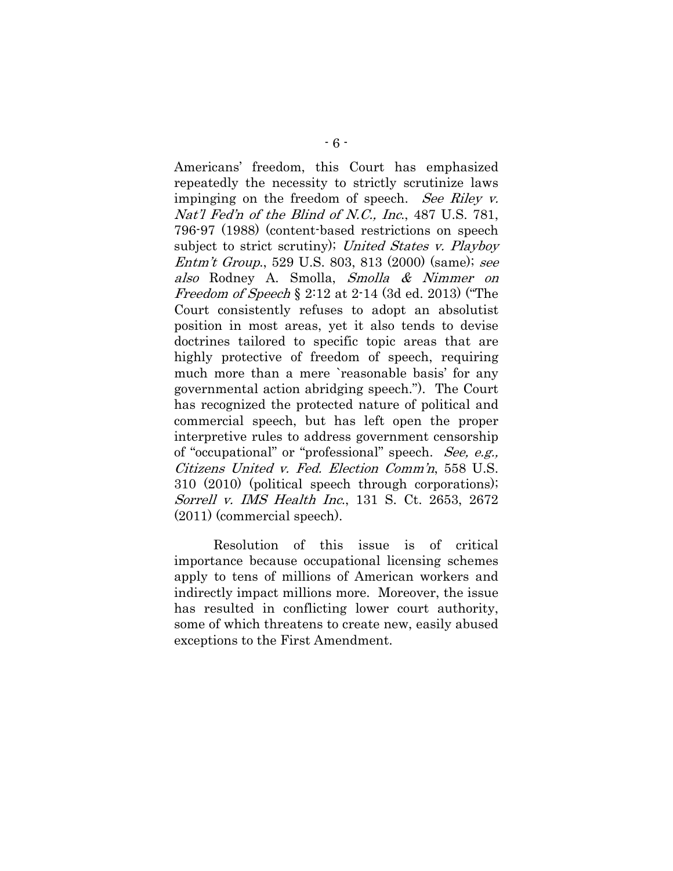Americans' freedom, this Court has emphasized repeatedly the necessity to strictly scrutinize laws impinging on the freedom of speech. See Riley v. Nat'l Fed'n of the Blind of N.C., Inc., 487 U.S. 781, 796-97 (1988) (content-based restrictions on speech subject to strict scrutiny); United States v. Playboy Entm't Group., 529 U.S. 803, 813 (2000) (same); see also Rodney A. Smolla, Smolla & Nimmer on Freedom of Speech § 2:12 at 2-14 (3d ed. 2013) ("The Court consistently refuses to adopt an absolutist position in most areas, yet it also tends to devise doctrines tailored to specific topic areas that are highly protective of freedom of speech, requiring much more than a mere `reasonable basis' for any governmental action abridging speech."). The Court has recognized the protected nature of political and commercial speech, but has left open the proper interpretive rules to address government censorship of "occupational" or "professional" speech. See, e.g., Citizens United v. Fed. Election Comm'n, 558 U.S. 310 (2010) (political speech through corporations); Sorrell v. IMS Health Inc., 131 S. Ct. 2653, 2672 (2011) (commercial speech).

Resolution of this issue is of critical importance because occupational licensing schemes apply to tens of millions of American workers and indirectly impact millions more. Moreover, the issue has resulted in conflicting lower court authority, some of which threatens to create new, easily abused exceptions to the First Amendment.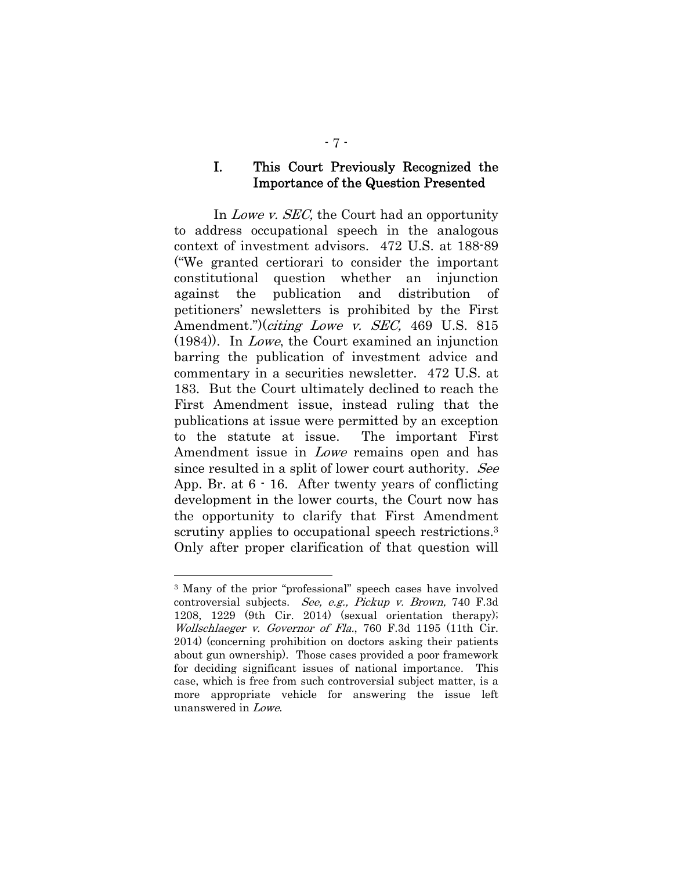#### I. This Court Previously Recognized the Importance of the Question Presented

In *Lowe v. SEC*, the Court had an opportunity to address occupational speech in the analogous context of investment advisors. 472 U.S. at 188-89 ("We granted certiorari to consider the important constitutional question whether an injunction against the publication and distribution of petitioners' newsletters is prohibited by the First Amendment.")(*citing Lowe v. SEC*, 469 U.S. 815 (1984)). In Lowe, the Court examined an injunction barring the publication of investment advice and commentary in a securities newsletter. 472 U.S. at 183. But the Court ultimately declined to reach the First Amendment issue, instead ruling that the publications at issue were permitted by an exception to the statute at issue. The important First Amendment issue in Lowe remains open and has since resulted in a split of lower court authority. See App. Br. at 6 - 16. After twenty years of conflicting development in the lower courts, the Court now has the opportunity to clarify that First Amendment scrutiny applies to occupational speech restrictions.<sup>3</sup> Only after proper clarification of that question will

<sup>3</sup> Many of the prior "professional" speech cases have involved controversial subjects. See, e.g., Pickup v. Brown, 740 F.3d 1208, 1229 (9th Cir. 2014) (sexual orientation therapy); Wollschlaeger v. Governor of Fla., 760 F.3d 1195 (11th Cir. 2014) (concerning prohibition on doctors asking their patients about gun ownership). Those cases provided a poor framework for deciding significant issues of national importance. This case, which is free from such controversial subject matter, is a more appropriate vehicle for answering the issue left unanswered in Lowe.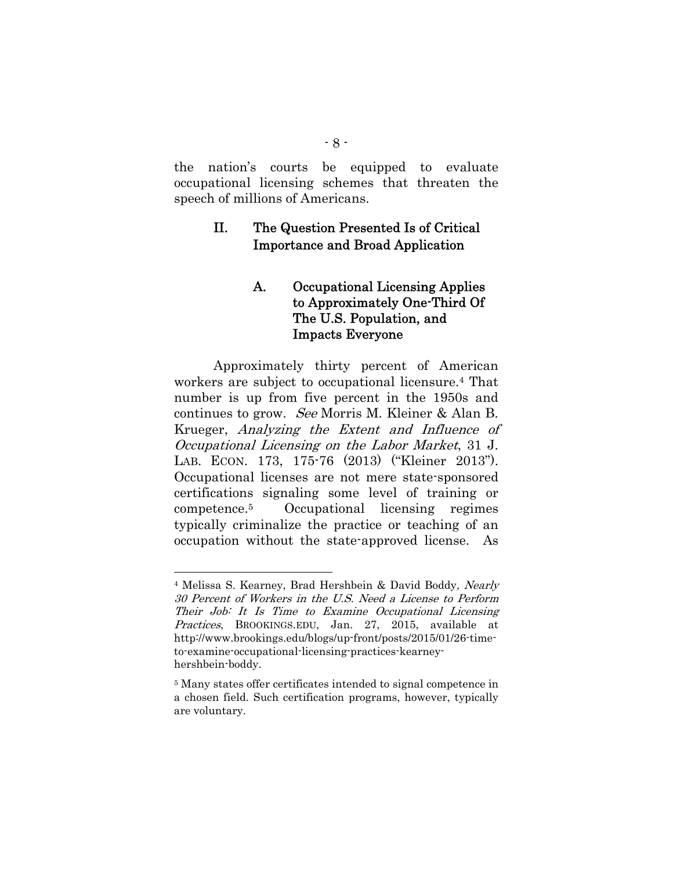the nation's courts be equipped to evaluate occupational licensing schemes that threaten the speech of millions of Americans.

## II. The Question Presented Is of Critical Importance and Broad Application

## A. Occupational Licensing Applies to Approximately One-Third Of The U.S. Population, and Impacts Everyone

Approximately thirty percent of American workers are subject to occupational licensure.4 That number is up from five percent in the 1950s and continues to grow. See Morris M. Kleiner & Alan B. Krueger, Analyzing the Extent and Influence of Occupational Licensing on the Labor Market, 31 J. LAB. ECON. 173, 175-76 (2013) ("Kleiner 2013"). Occupational licenses are not mere state-sponsored certifications signaling some level of training or competence.5 Occupational licensing regimes typically criminalize the practice or teaching of an occupation without the state-approved license. As

<sup>4</sup> Melissa S. Kearney, Brad Hershbein & David Boddy, Nearly 30 Percent of Workers in the U.S. Need a License to Perform Their Job: It Is Time to Examine Occupational Licensing Practices, BROOKINGS.EDU, Jan. 27, 2015, available at http://www.brookings.edu/blogs/up-front/posts/2015/01/26-timeto-examine-occupational-licensing-practices-kearneyhershbein-boddy.

<sup>5</sup> Many states offer certificates intended to signal competence in a chosen field. Such certification programs, however, typically are voluntary.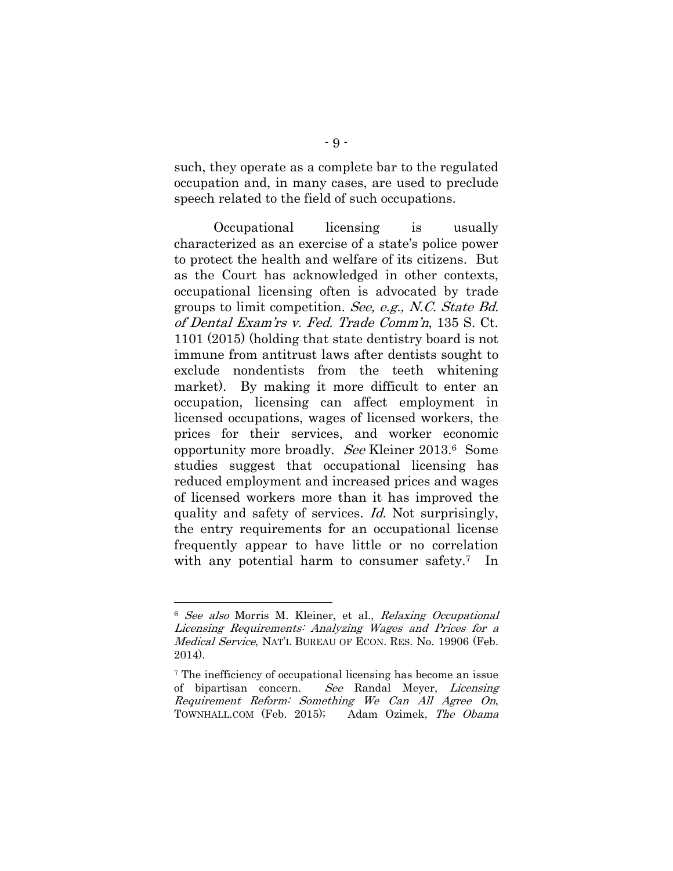such, they operate as a complete bar to the regulated occupation and, in many cases, are used to preclude speech related to the field of such occupations.

Occupational licensing is usually characterized as an exercise of a state's police power to protect the health and welfare of its citizens. But as the Court has acknowledged in other contexts, occupational licensing often is advocated by trade groups to limit competition. See, e.g., N.C. State Bd. of Dental Exam'rs v. Fed. Trade Comm'n, 135 S. Ct. 1101 (2015) (holding that state dentistry board is not immune from antitrust laws after dentists sought to exclude nondentists from the teeth whitening market). By making it more difficult to enter an occupation, licensing can affect employment in licensed occupations, wages of licensed workers, the prices for their services, and worker economic opportunity more broadly. See Kleiner 2013.6 Some studies suggest that occupational licensing has reduced employment and increased prices and wages of licensed workers more than it has improved the quality and safety of services. Id. Not surprisingly, the entry requirements for an occupational license frequently appear to have little or no correlation with any potential harm to consumer safety.<sup>7</sup> In

<sup>6</sup> See also Morris M. Kleiner, et al., Relaxing Occupational Licensing Requirements: Analyzing Wages and Prices for a Medical Service, NAT'L BUREAU OF ECON. RES. No. 19906 (Feb. 2014).

<sup>7</sup> The inefficiency of occupational licensing has become an issue of bipartisan concern. See Randal Meyer, Licensing Requirement Reform: Something We Can All Agree On, TOWNHALL.COM (Feb. 2015); Adam Ozimek, The Obama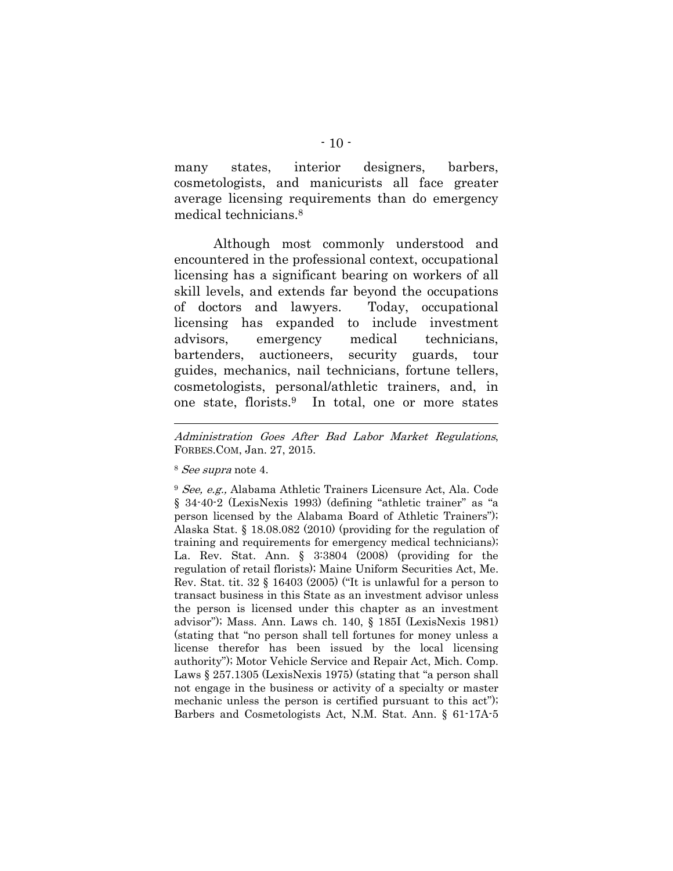many states, interior designers, barbers, cosmetologists, and manicurists all face greater average licensing requirements than do emergency medical technicians.8

Although most commonly understood and encountered in the professional context, occupational licensing has a significant bearing on workers of all skill levels, and extends far beyond the occupations of doctors and lawyers. Today, occupational licensing has expanded to include investment advisors, emergency medical technicians, bartenders, auctioneers, security guards, tour guides, mechanics, nail technicians, fortune tellers, cosmetologists, personal/athletic trainers, and, in one state, florists.9 In total, one or more states

Administration Goes After Bad Labor Market Regulations, FORBES.COM, Jan. 27, 2015.

<sup>8</sup> See supra note 4.

<sup>9</sup> See, e.g., Alabama Athletic Trainers Licensure Act, Ala. Code § 34-40-2 (LexisNexis 1993) (defining "athletic trainer" as "a person licensed by the Alabama Board of Athletic Trainers"); Alaska Stat. § 18.08.082 (2010) (providing for the regulation of training and requirements for emergency medical technicians); La. Rev. Stat. Ann. § 3:3804 (2008) (providing for the regulation of retail florists); Maine Uniform Securities Act, Me. Rev. Stat. tit. 32 § 16403 (2005) ("It is unlawful for a person to transact business in this State as an investment advisor unless the person is licensed under this chapter as an investment advisor"); Mass. Ann. Laws ch. 140, § 185I (LexisNexis 1981) (stating that "no person shall tell fortunes for money unless a license therefor has been issued by the local licensing authority"); Motor Vehicle Service and Repair Act, Mich. Comp. Laws § 257.1305 (LexisNexis 1975) (stating that "a person shall not engage in the business or activity of a specialty or master mechanic unless the person is certified pursuant to this act"); Barbers and Cosmetologists Act, N.M. Stat. Ann. § 61-17A-5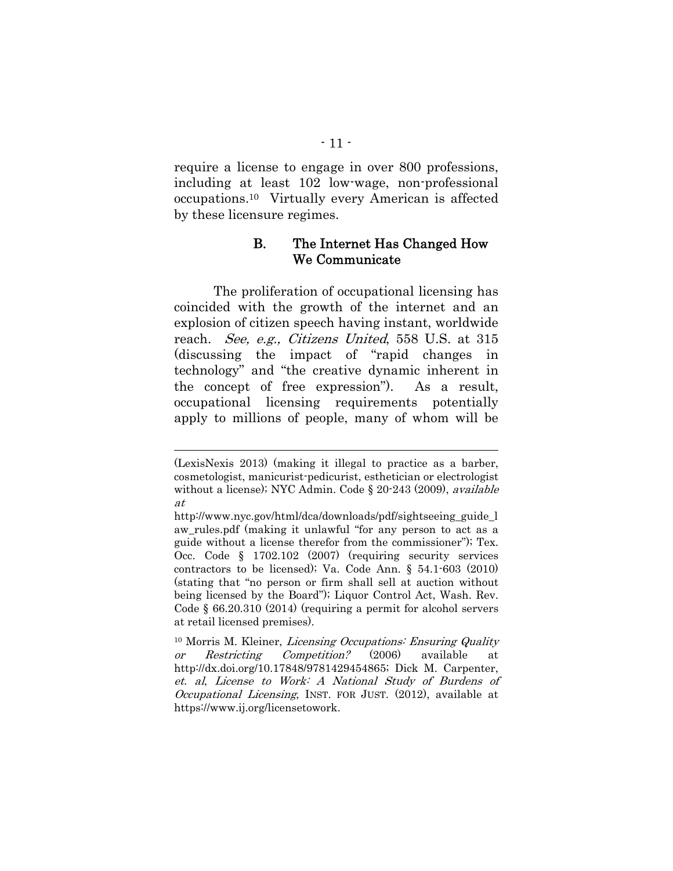require a license to engage in over 800 professions, including at least 102 low-wage, non-professional occupations.10 Virtually every American is affected by these licensure regimes.

### B. The Internet Has Changed How We Communicate

The proliferation of occupational licensing has coincided with the growth of the internet and an explosion of citizen speech having instant, worldwide reach. See, e.g., Citizens United, 558 U.S. at 315 (discussing the impact of "rapid changes in technology" and "the creative dynamic inherent in the concept of free expression"). As a result, occupational licensing requirements potentially apply to millions of people, many of whom will be

<sup>(</sup>LexisNexis 2013) (making it illegal to practice as a barber, cosmetologist, manicurist-pedicurist, esthetician or electrologist without a license); NYC Admin. Code § 20-243 (2009), available at

http://www.nyc.gov/html/dca/downloads/pdf/sightseeing\_guide\_l aw\_rules.pdf (making it unlawful "for any person to act as a guide without a license therefor from the commissioner"); Tex. Occ. Code § 1702.102 (2007) (requiring security services contractors to be licensed); Va. Code Ann. § 54.1-603 (2010) (stating that "no person or firm shall sell at auction without being licensed by the Board"); Liquor Control Act, Wash. Rev. Code § 66.20.310 (2014) (requiring a permit for alcohol servers at retail licensed premises).

<sup>&</sup>lt;sup>10</sup> Morris M. Kleiner, *Licensing Occupations: Ensuring Quality* or Restricting Competition? (2006) available at http://dx.doi.org/10.17848/9781429454865; Dick M. Carpenter, et. al, License to Work: A National Study of Burdens of Occupational Licensing, INST. FOR JUST. (2012), available at https://www.ij.org/licensetowork.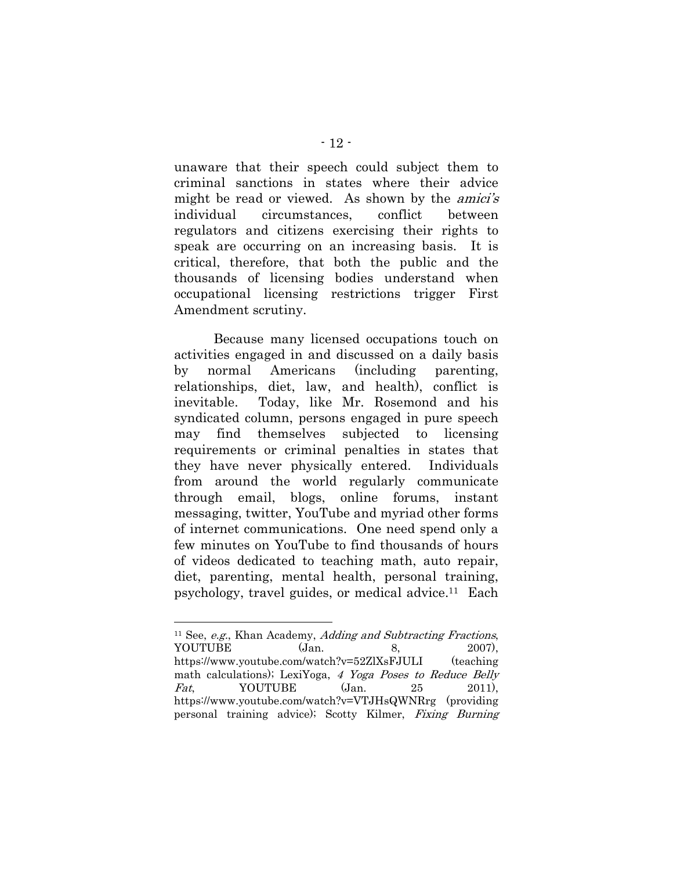unaware that their speech could subject them to criminal sanctions in states where their advice might be read or viewed. As shown by the *amici's* individual circumstances, conflict between regulators and citizens exercising their rights to speak are occurring on an increasing basis. It is critical, therefore, that both the public and the thousands of licensing bodies understand when occupational licensing restrictions trigger First Amendment scrutiny.

Because many licensed occupations touch on activities engaged in and discussed on a daily basis by normal Americans (including parenting, relationships, diet, law, and health), conflict is inevitable. Today, like Mr. Rosemond and his syndicated column, persons engaged in pure speech may find themselves subjected to licensing requirements or criminal penalties in states that they have never physically entered. Individuals from around the world regularly communicate through email, blogs, online forums, instant messaging, twitter, YouTube and myriad other forms of internet communications. One need spend only a few minutes on YouTube to find thousands of hours of videos dedicated to teaching math, auto repair, diet, parenting, mental health, personal training, psychology, travel guides, or medical advice.11 Each

l  $11$  See, *e.g.*, Khan Academy, *Adding and Subtracting Fractions*, YOUTUBE (Jan. 8, 2007), https://www.youtube.com/watch?v=52ZlXsFJULI (teaching math calculations); LexiYoga, 4 Yoga Poses to Reduce Belly  $Fat$ , YOUTUBE  $(Jan. 25$  2011), https://www.youtube.com/watch?v=VTJHsQWNRrg (providing personal training advice); Scotty Kilmer, Fixing Burning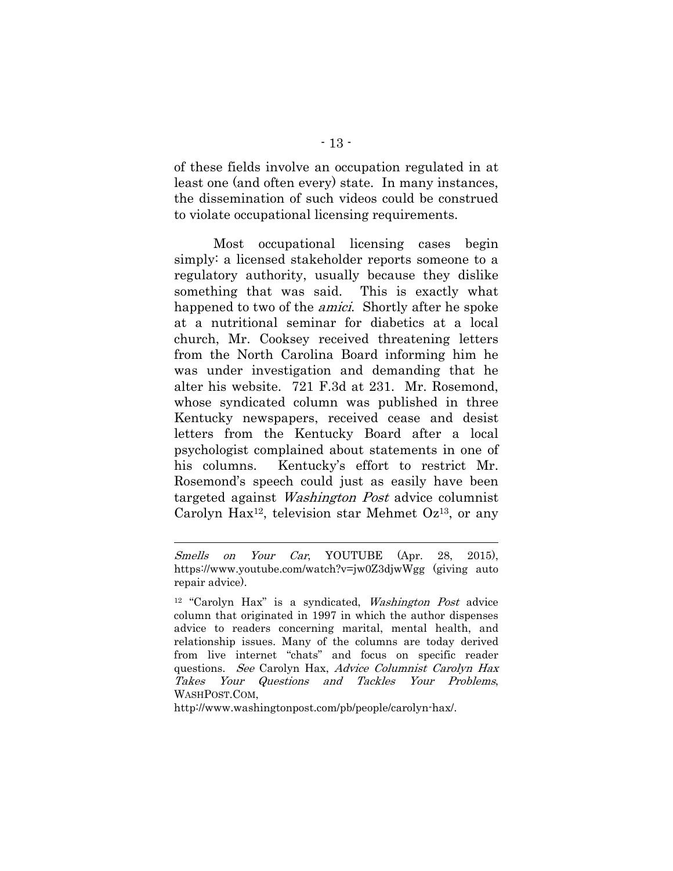of these fields involve an occupation regulated in at least one (and often every) state. In many instances, the dissemination of such videos could be construed to violate occupational licensing requirements.

Most occupational licensing cases begin simply: a licensed stakeholder reports someone to a regulatory authority, usually because they dislike something that was said. This is exactly what happened to two of the *amici*. Shortly after he spoke at a nutritional seminar for diabetics at a local church, Mr. Cooksey received threatening letters from the North Carolina Board informing him he was under investigation and demanding that he alter his website. 721 F.3d at 231. Mr. Rosemond, whose syndicated column was published in three Kentucky newspapers, received cease and desist letters from the Kentucky Board after a local psychologist complained about statements in one of his columns. Kentucky's effort to restrict Mr. Rosemond's speech could just as easily have been targeted against Washington Post advice columnist Carolyn Hax<sup>12</sup>, television star Mehmet  $Oz^{13}$ , or any

l

http://www.washingtonpost.com/pb/people/carolyn-hax/.

Smells on Your Car, YOUTUBE (Apr. 28, 2015), https://www.youtube.com/watch?v=jw0Z3djwWgg (giving auto repair advice).

<sup>&</sup>lt;sup>12</sup> "Carolyn Hax" is a syndicated, *Washington Post* advice column that originated in 1997 in which the author dispenses advice to readers concerning marital, mental health, and relationship issues. Many of the columns are today derived from live internet "chats" and focus on specific reader questions. See Carolyn Hax, Advice Columnist Carolyn Hax Takes Your Questions and Tackles Your Problems, WASHPOST.COM,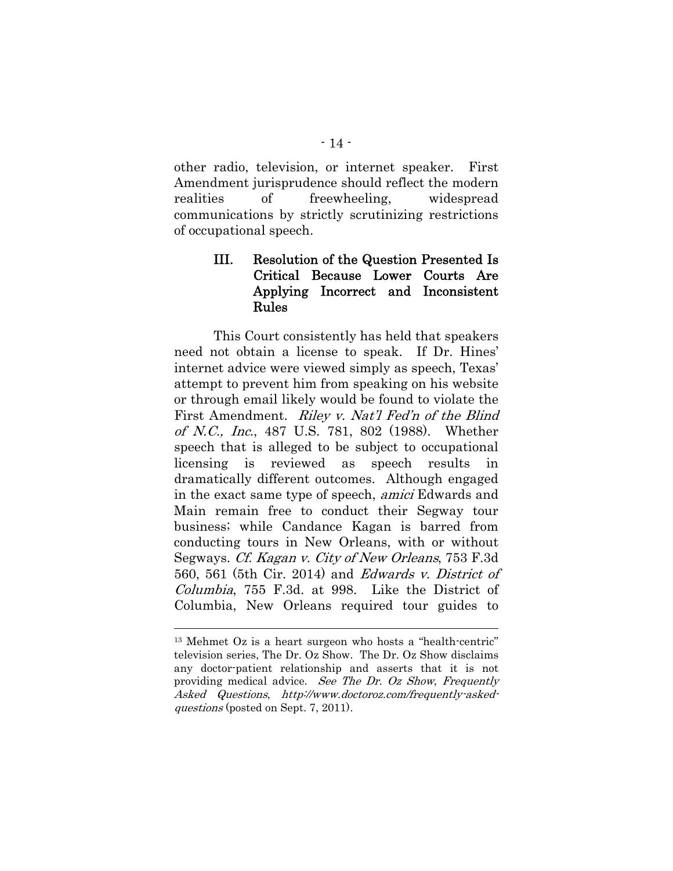other radio, television, or internet speaker. First Amendment jurisprudence should reflect the modern realities of freewheeling, widespread communications by strictly scrutinizing restrictions of occupational speech.

## III. Resolution of the Question Presented Is Critical Because Lower Courts Are Applying Incorrect and Inconsistent Rules

This Court consistently has held that speakers need not obtain a license to speak. If Dr. Hines' internet advice were viewed simply as speech, Texas' attempt to prevent him from speaking on his website or through email likely would be found to violate the First Amendment. *Riley v. Nat'l Fed'n of the Blind* of N.C., Inc., 487 U.S. 781, 802 (1988). Whether speech that is alleged to be subject to occupational licensing is reviewed as speech results in dramatically different outcomes. Although engaged in the exact same type of speech, amici Edwards and Main remain free to conduct their Segway tour business; while Candance Kagan is barred from conducting tours in New Orleans, with or without Segways. Cf. Kagan v. City of New Orleans, 753 F.3d 560, 561 (5th Cir. 2014) and Edwards v. District of Columbia, 755 F.3d. at 998. Like the District of Columbia, New Orleans required tour guides to

<sup>13</sup> Mehmet Oz is a heart surgeon who hosts a "health-centric" television series, The Dr. Oz Show. The Dr. Oz Show disclaims any doctor-patient relationship and asserts that it is not providing medical advice. See The Dr. Oz Show, Frequently Asked Questions, http://www.doctoroz.com/frequently-askedquestions (posted on Sept. 7, 2011).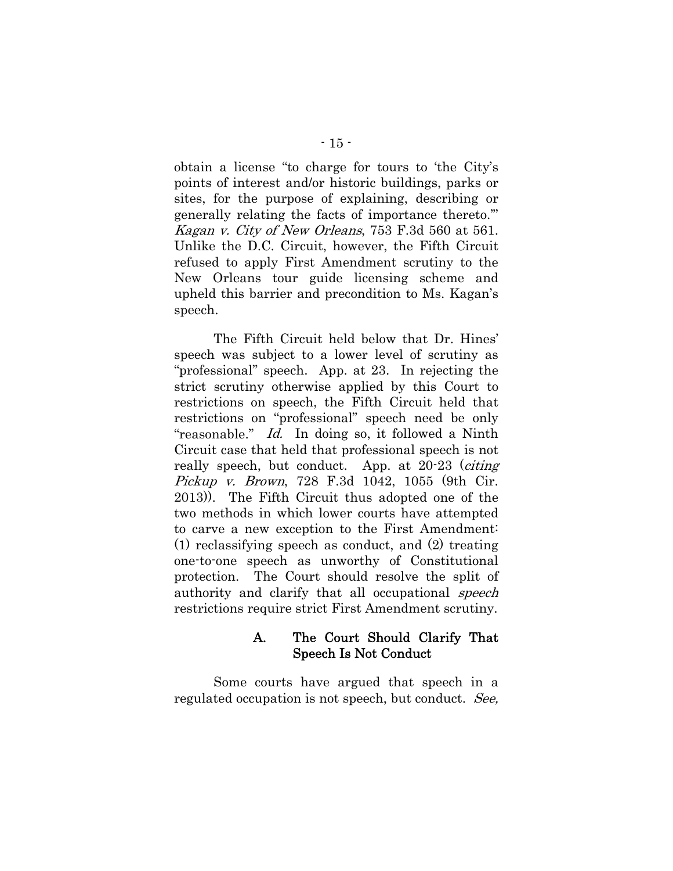obtain a license "to charge for tours to 'the City's points of interest and/or historic buildings, parks or sites, for the purpose of explaining, describing or generally relating the facts of importance thereto.'" Kagan v. City of New Orleans, 753 F.3d 560 at 561. Unlike the D.C. Circuit, however, the Fifth Circuit refused to apply First Amendment scrutiny to the New Orleans tour guide licensing scheme and upheld this barrier and precondition to Ms. Kagan's speech.

The Fifth Circuit held below that Dr. Hines' speech was subject to a lower level of scrutiny as "professional" speech. App. at 23. In rejecting the strict scrutiny otherwise applied by this Court to restrictions on speech, the Fifth Circuit held that restrictions on "professional" speech need be only "reasonable." Id. In doing so, it followed a Ninth Circuit case that held that professional speech is not really speech, but conduct. App. at 20-23 (citing Pickup v. Brown, 728 F.3d 1042, 1055 (9th Cir. 2013)). The Fifth Circuit thus adopted one of the two methods in which lower courts have attempted to carve a new exception to the First Amendment: (1) reclassifying speech as conduct, and (2) treating one-to-one speech as unworthy of Constitutional protection. The Court should resolve the split of authority and clarify that all occupational *speech* restrictions require strict First Amendment scrutiny.

### A. The Court Should Clarify That Speech Is Not Conduct

Some courts have argued that speech in a regulated occupation is not speech, but conduct. See,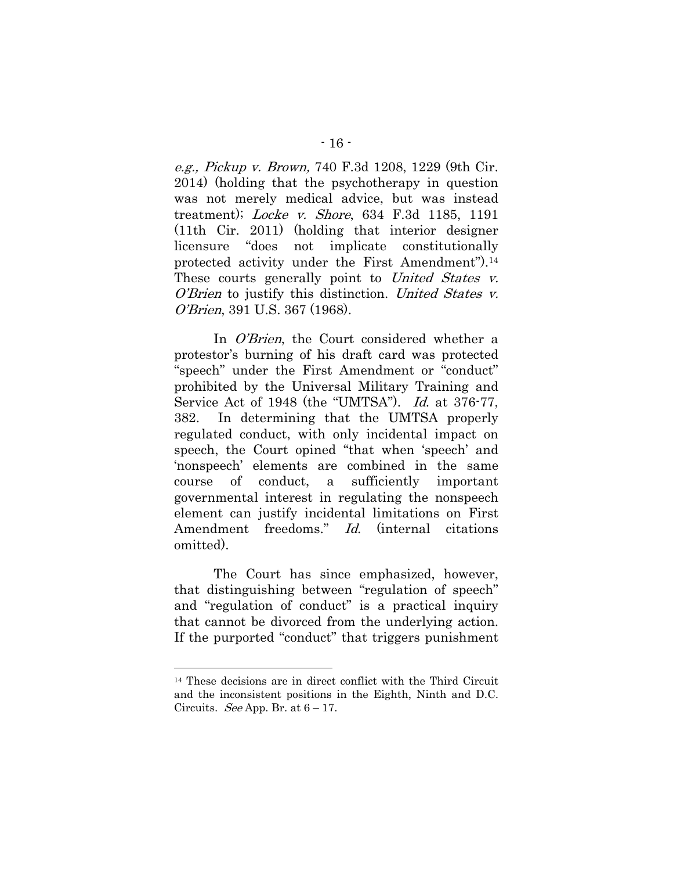e.g., Pickup v. Brown, 740 F.3d 1208, 1229 (9th Cir. 2014) (holding that the psychotherapy in question was not merely medical advice, but was instead treatment); Locke v. Shore, 634 F.3d 1185, 1191 (11th Cir. 2011) (holding that interior designer licensure "does not implicate constitutionally protected activity under the First Amendment").14 These courts generally point to United States v. O'Brien to justify this distinction. United States v. O'Brien, 391 U.S. 367 (1968).

In *O'Brien*, the Court considered whether a protestor's burning of his draft card was protected "speech" under the First Amendment or "conduct" prohibited by the Universal Military Training and Service Act of 1948 (the "UMTSA"). Id. at 376-77, 382. In determining that the UMTSA properly regulated conduct, with only incidental impact on speech, the Court opined "that when 'speech' and 'nonspeech' elements are combined in the same course of conduct, a sufficiently important governmental interest in regulating the nonspeech element can justify incidental limitations on First Amendment freedoms." Id. (internal citations omitted).

The Court has since emphasized, however, that distinguishing between "regulation of speech" and "regulation of conduct" is a practical inquiry that cannot be divorced from the underlying action. If the purported "conduct" that triggers punishment

<sup>14</sup> These decisions are in direct conflict with the Third Circuit and the inconsistent positions in the Eighth, Ninth and D.C. Circuits. *See* App. Br. at  $6 - 17$ .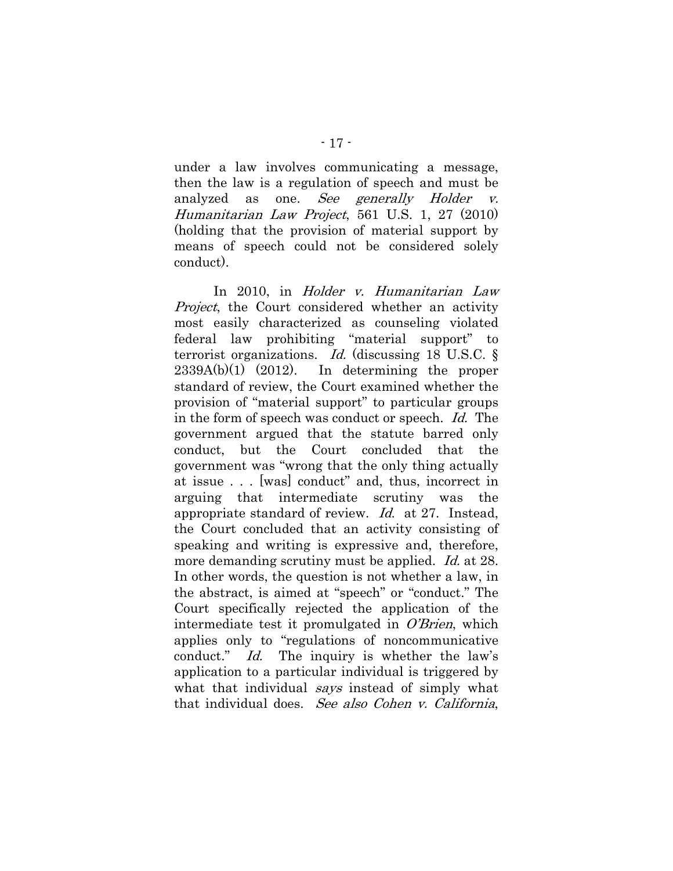under a law involves communicating a message, then the law is a regulation of speech and must be analyzed as one. See generally Holder v. Humanitarian Law Project, 561 U.S. 1, 27 (2010) (holding that the provision of material support by means of speech could not be considered solely conduct).

In 2010, in Holder v. Humanitarian Law *Project*, the Court considered whether an activity most easily characterized as counseling violated federal law prohibiting "material support" to terrorist organizations. Id. (discussing 18 U.S.C.  $\S$  $2339A(b)(1)$   $(2012)$ . In determining the proper standard of review, the Court examined whether the provision of "material support" to particular groups in the form of speech was conduct or speech. Id. The government argued that the statute barred only conduct, but the Court concluded that the government was "wrong that the only thing actually at issue . . . [was] conduct" and, thus, incorrect in arguing that intermediate scrutiny was the appropriate standard of review. Id. at 27. Instead, the Court concluded that an activity consisting of speaking and writing is expressive and, therefore, more demanding scrutiny must be applied. *Id.* at 28. In other words, the question is not whether a law, in the abstract, is aimed at "speech" or "conduct." The Court specifically rejected the application of the intermediate test it promulgated in  $O'Brien$ , which applies only to "regulations of noncommunicative conduct." Id. The inquiry is whether the law's application to a particular individual is triggered by what that individual *says* instead of simply what that individual does. See also Cohen v. California,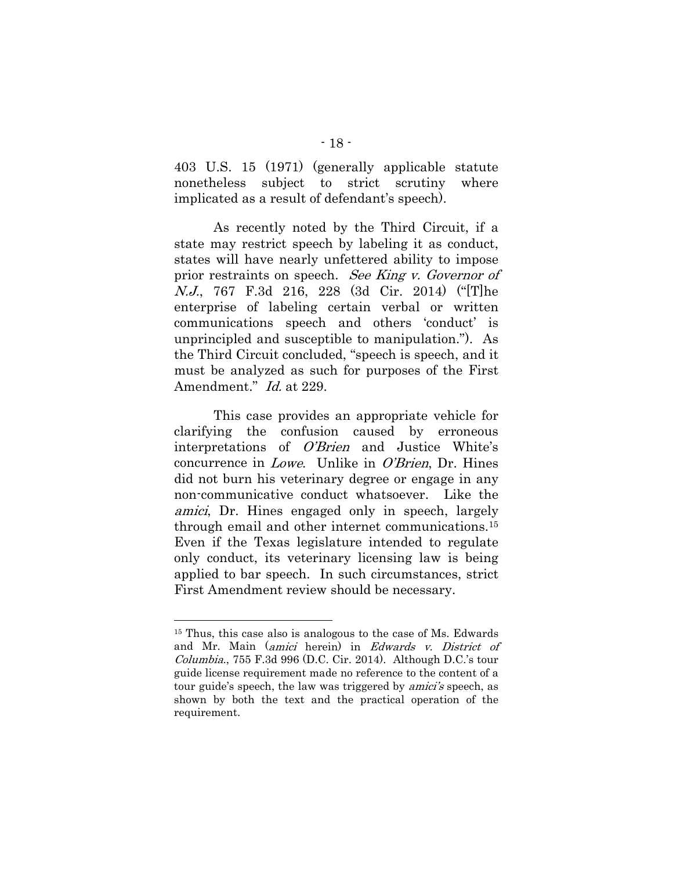403 U.S. 15 (1971) (generally applicable statute nonetheless subject to strict scrutiny where implicated as a result of defendant's speech).

As recently noted by the Third Circuit, if a state may restrict speech by labeling it as conduct, states will have nearly unfettered ability to impose prior restraints on speech. See King v. Governor of N.J., 767 F.3d 216, 228 (3d Cir. 2014) ("[T]he enterprise of labeling certain verbal or written communications speech and others 'conduct' is unprincipled and susceptible to manipulation."). As the Third Circuit concluded, "speech is speech, and it must be analyzed as such for purposes of the First Amendment." *Id.* at 229.

This case provides an appropriate vehicle for clarifying the confusion caused by erroneous interpretations of O'Brien and Justice White's concurrence in *Lowe*. Unlike in *O'Brien*, Dr. Hines did not burn his veterinary degree or engage in any non-communicative conduct whatsoever. Like the amici, Dr. Hines engaged only in speech, largely through email and other internet communications.15 Even if the Texas legislature intended to regulate only conduct, its veterinary licensing law is being applied to bar speech. In such circumstances, strict First Amendment review should be necessary.

<sup>15</sup> Thus, this case also is analogous to the case of Ms. Edwards and Mr. Main (amici herein) in Edwards v. District of Columbia., 755 F.3d 996 (D.C. Cir. 2014). Although D.C.'s tour guide license requirement made no reference to the content of a tour guide's speech, the law was triggered by *amici's* speech, as shown by both the text and the practical operation of the requirement.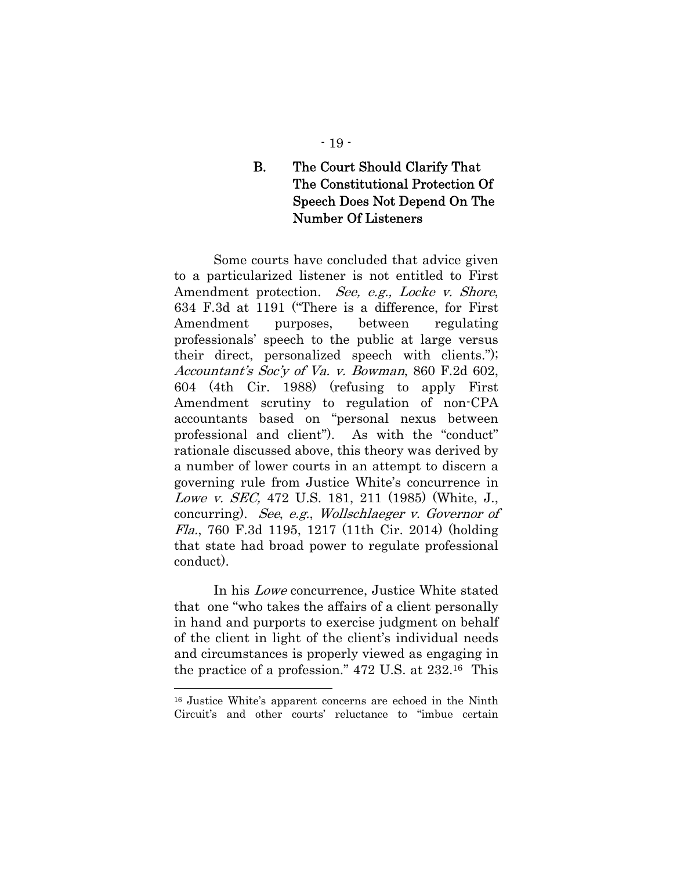### - 19 -

## B. The Court Should Clarify That The Constitutional Protection Of Speech Does Not Depend On The Number Of Listeners

Some courts have concluded that advice given to a particularized listener is not entitled to First Amendment protection. See, e.g., Locke v. Shore, 634 F.3d at 1191 ("There is a difference, for First Amendment purposes, between regulating professionals' speech to the public at large versus their direct, personalized speech with clients."); Accountant's Soc'y of Va. v. Bowman, 860 F.2d 602, 604 (4th Cir. 1988) (refusing to apply First Amendment scrutiny to regulation of non-CPA accountants based on "personal nexus between professional and client"). As with the "conduct" rationale discussed above, this theory was derived by a number of lower courts in an attempt to discern a governing rule from Justice White's concurrence in Lowe v. SEC, 472 U.S. 181, 211 (1985) (White, J., concurring). See, e.g., Wollschlaeger v. Governor of Fla., 760 F.3d 1195, 1217 (11th Cir. 2014) (holding that state had broad power to regulate professional conduct).

In his Lowe concurrence, Justice White stated that one "who takes the affairs of a client personally in hand and purports to exercise judgment on behalf of the client in light of the client's individual needs and circumstances is properly viewed as engaging in the practice of a profession." 472 U.S. at 232.16 This

<sup>16</sup> Justice White's apparent concerns are echoed in the Ninth Circuit's and other courts' reluctance to "imbue certain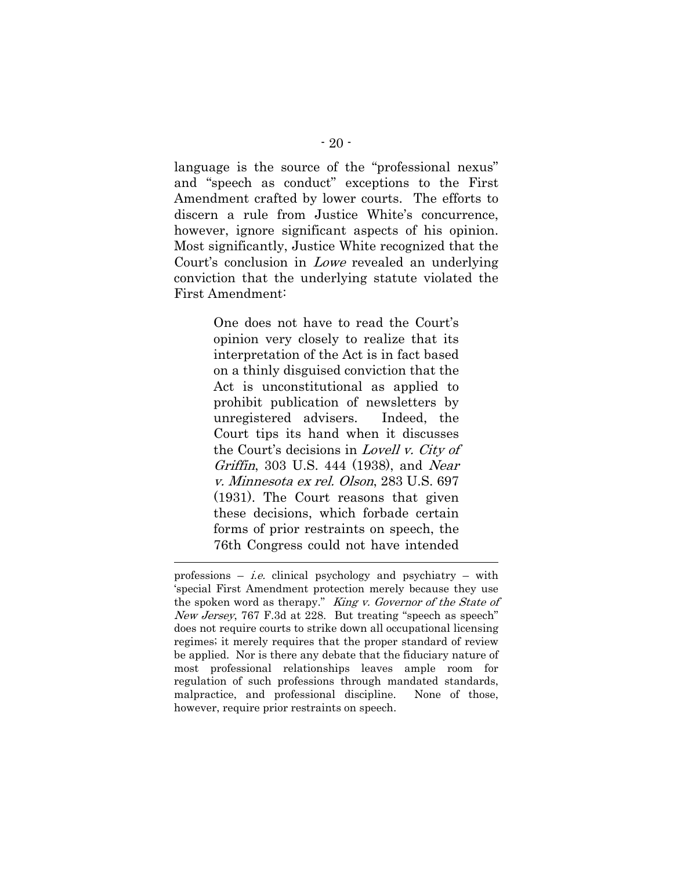language is the source of the "professional nexus" and "speech as conduct" exceptions to the First Amendment crafted by lower courts. The efforts to discern a rule from Justice White's concurrence, however, ignore significant aspects of his opinion. Most significantly, Justice White recognized that the Court's conclusion in Lowe revealed an underlying conviction that the underlying statute violated the First Amendment:

> One does not have to read the Court's opinion very closely to realize that its interpretation of the Act is in fact based on a thinly disguised conviction that the Act is unconstitutional as applied to prohibit publication of newsletters by unregistered advisers. Indeed, the Court tips its hand when it discusses the Court's decisions in *Lovell v. City of* Griffin, 303 U.S. 444 (1938), and Near v. Minnesota ex rel. Olson, 283 U.S. 697 (1931). The Court reasons that given these decisions, which forbade certain forms of prior restraints on speech, the 76th Congress could not have intended

professions – *i.e.* clinical psychology and psychiatry – with 'special First Amendment protection merely because they use the spoken word as therapy." King v. Governor of the State of New Jersey, 767 F.3d at 228. But treating "speech as speech" does not require courts to strike down all occupational licensing regimes; it merely requires that the proper standard of review be applied. Nor is there any debate that the fiduciary nature of most professional relationships leaves ample room for regulation of such professions through mandated standards, malpractice, and professional discipline. None of those, however, require prior restraints on speech.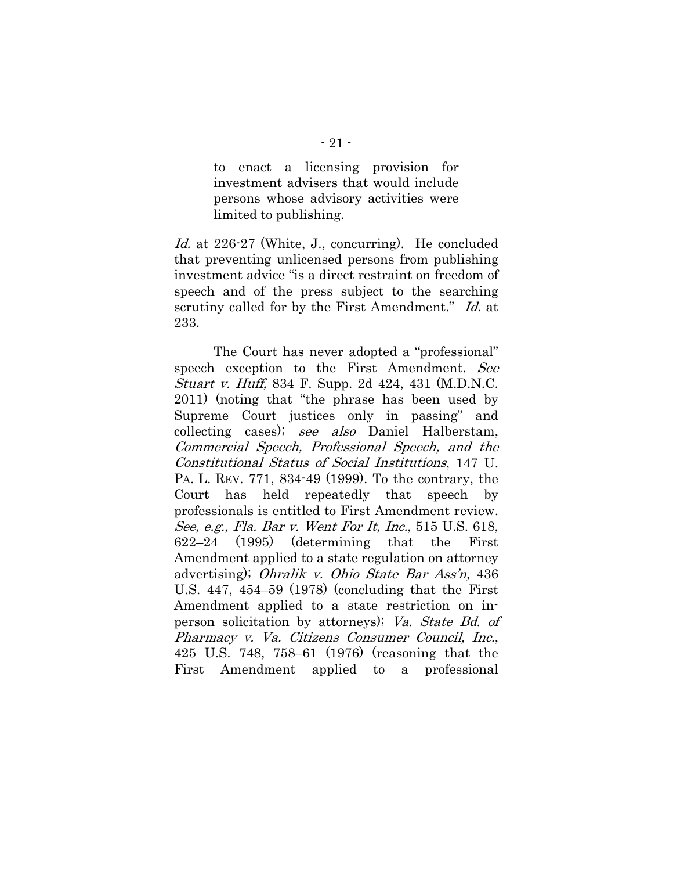to enact a licensing provision for investment advisers that would include persons whose advisory activities were limited to publishing.

Id. at 226-27 (White, J., concurring). He concluded that preventing unlicensed persons from publishing investment advice "is a direct restraint on freedom of speech and of the press subject to the searching scrutiny called for by the First Amendment." Id. at 233.

The Court has never adopted a "professional" speech exception to the First Amendment. See Stuart v. Huff, 834 F. Supp. 2d 424, 431 (M.D.N.C. 2011) (noting that "the phrase has been used by Supreme Court justices only in passing" and collecting cases); see also Daniel Halberstam, Commercial Speech, Professional Speech, and the Constitutional Status of Social Institutions, 147 U. PA. L. REV. 771, 834-49 (1999). To the contrary, the Court has held repeatedly that speech by professionals is entitled to First Amendment review. See, e.g., Fla. Bar v. Went For It, Inc., 515 U.S. 618, 622–24 (1995) (determining that the First Amendment applied to a state regulation on attorney advertising); Ohralik v. Ohio State Bar Ass'n, 436 U.S. 447, 454–59 (1978) (concluding that the First Amendment applied to a state restriction on inperson solicitation by attorneys); Va. State Bd. of Pharmacy v. Va. Citizens Consumer Council, Inc., 425 U.S. 748, 758–61 (1976) (reasoning that the First Amendment applied to a professional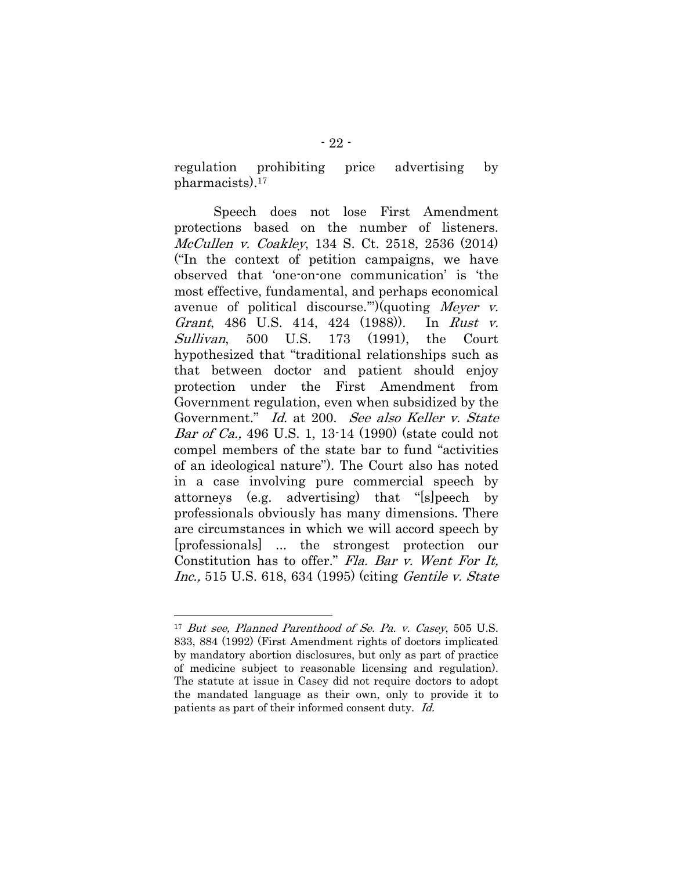regulation prohibiting price advertising by pharmacists).17

Speech does not lose First Amendment protections based on the number of listeners. McCullen v. Coakley, 134 S. Ct. 2518, 2536 (2014) ("In the context of petition campaigns, we have observed that 'one-on-one communication' is 'the most effective, fundamental, and perhaps economical avenue of political discourse."")(quoting Meyer v. Grant, 486 U.S. 414, 424 (1988)). In Rust v. Sullivan, 500 U.S. 173 (1991), the Court hypothesized that "traditional relationships such as that between doctor and patient should enjoy protection under the First Amendment from Government regulation, even when subsidized by the Government." Id. at 200. See also Keller v. State Bar of Ca., 496 U.S. 1, 13-14 (1990) (state could not compel members of the state bar to fund "activities of an ideological nature"). The Court also has noted in a case involving pure commercial speech by attorneys (e.g. advertising) that "[s]peech by professionals obviously has many dimensions. There are circumstances in which we will accord speech by [professionals] ... the strongest protection our Constitution has to offer." Fla. Bar v. Went For It, Inc., 515 U.S. 618, 634 (1995) (citing Gentile v. State

<sup>&</sup>lt;sup>17</sup> But see, Planned Parenthood of Se. Pa. v. Casey, 505 U.S. 833, 884 (1992) (First Amendment rights of doctors implicated by mandatory abortion disclosures, but only as part of practice of medicine subject to reasonable licensing and regulation). The statute at issue in Casey did not require doctors to adopt the mandated language as their own, only to provide it to patients as part of their informed consent duty. Id.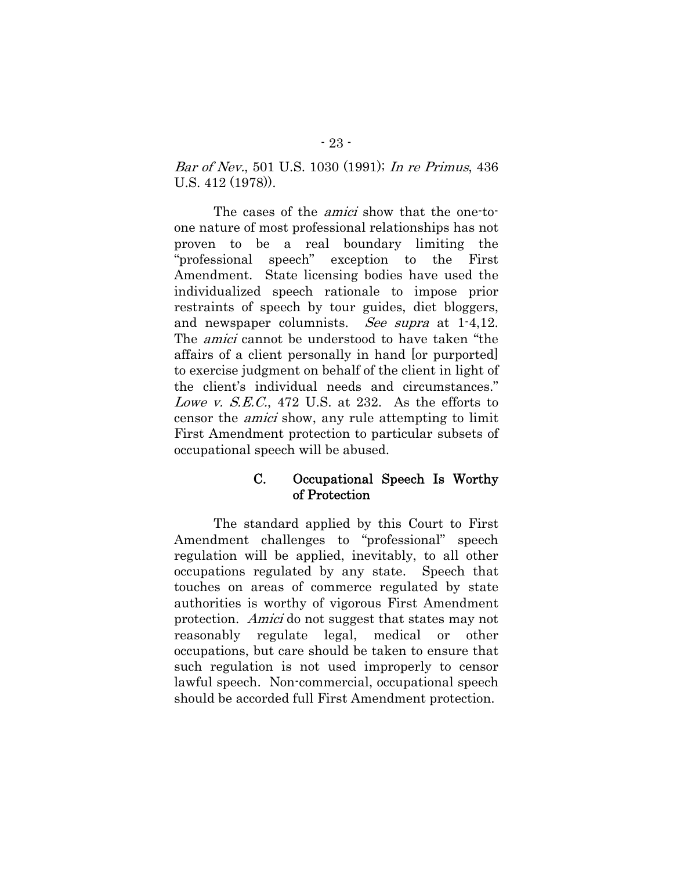Bar of Nev., 501 U.S. 1030 (1991); In re Primus, 436 U.S. 412 (1978)).

The cases of the *amici* show that the one-toone nature of most professional relationships has not proven to be a real boundary limiting the "professional speech" exception to the First Amendment. State licensing bodies have used the individualized speech rationale to impose prior restraints of speech by tour guides, diet bloggers, and newspaper columnists. See supra at 1-4,12. The amici cannot be understood to have taken "the affairs of a client personally in hand [or purported] to exercise judgment on behalf of the client in light of the client's individual needs and circumstances." Lowe v. S.E.C., 472 U.S. at 232. As the efforts to censor the amici show, any rule attempting to limit First Amendment protection to particular subsets of occupational speech will be abused.

### C. Occupational Speech Is Worthy of Protection

The standard applied by this Court to First Amendment challenges to "professional" speech regulation will be applied, inevitably, to all other occupations regulated by any state. Speech that touches on areas of commerce regulated by state authorities is worthy of vigorous First Amendment protection. Amici do not suggest that states may not reasonably regulate legal, medical or other occupations, but care should be taken to ensure that such regulation is not used improperly to censor lawful speech. Non-commercial, occupational speech should be accorded full First Amendment protection.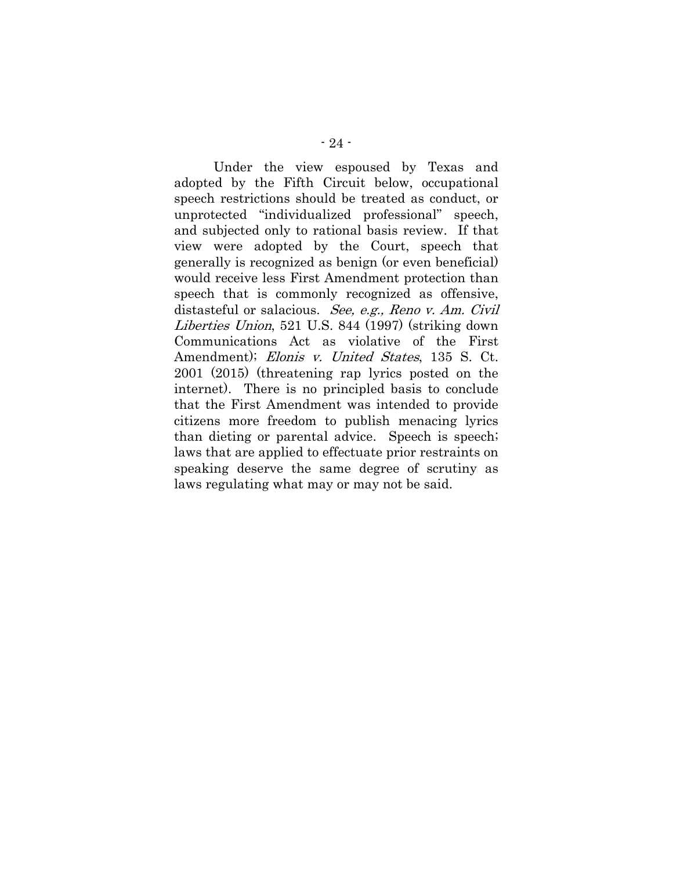Under the view espoused by Texas and adopted by the Fifth Circuit below, occupational speech restrictions should be treated as conduct, or unprotected "individualized professional" speech, and subjected only to rational basis review. If that view were adopted by the Court, speech that generally is recognized as benign (or even beneficial) would receive less First Amendment protection than speech that is commonly recognized as offensive, distasteful or salacious. See, e.g., Reno v. Am. Civil Liberties Union, 521 U.S. 844 (1997) (striking down Communications Act as violative of the First Amendment); Elonis v. United States, 135 S. Ct. 2001 (2015) (threatening rap lyrics posted on the internet). There is no principled basis to conclude that the First Amendment was intended to provide citizens more freedom to publish menacing lyrics than dieting or parental advice. Speech is speech; laws that are applied to effectuate prior restraints on speaking deserve the same degree of scrutiny as laws regulating what may or may not be said.